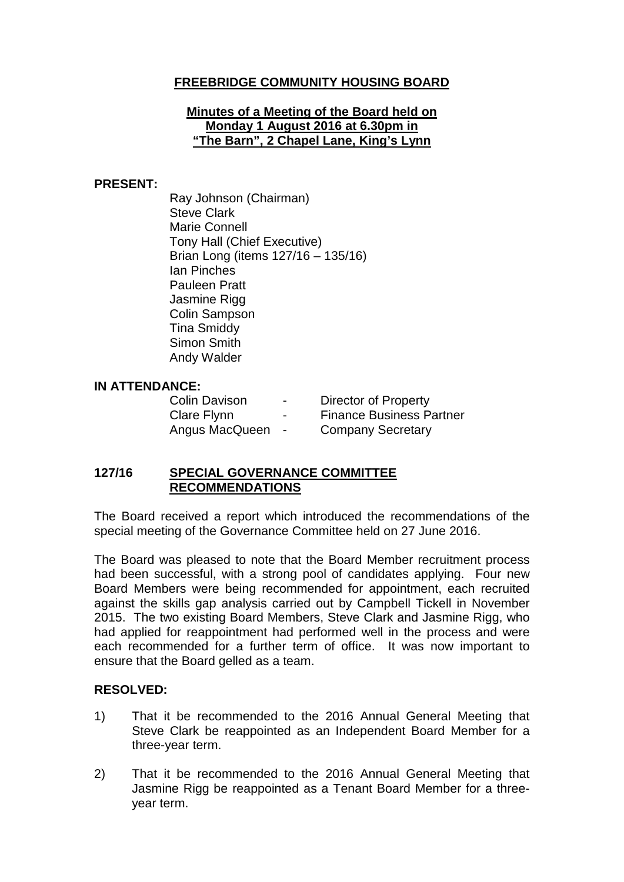# **FREEBRIDGE COMMUNITY HOUSING BOARD**

#### **Minutes of a Meeting of the Board held on Monday 1 August 2016 at 6.30pm in "The Barn", 2 Chapel Lane, King's Lynn**

#### **PRESENT:**

Ray Johnson (Chairman) Steve Clark Marie Connell Tony Hall (Chief Executive) Brian Long (items 127/16 – 135/16) Ian Pinches Pauleen Pratt Jasmine Rigg Colin Sampson Tina Smiddy Simon Smith Andy Walder

## **IN ATTENDANCE:**

Colin Davison - Director of Property Clare Flynn - Finance Business Partner Angus MacQueen - Company Secretary

## **127/16 SPECIAL GOVERNANCE COMMITTEE RECOMMENDATIONS**

The Board received a report which introduced the recommendations of the special meeting of the Governance Committee held on 27 June 2016.

The Board was pleased to note that the Board Member recruitment process had been successful, with a strong pool of candidates applying. Four new Board Members were being recommended for appointment, each recruited against the skills gap analysis carried out by Campbell Tickell in November 2015. The two existing Board Members, Steve Clark and Jasmine Rigg, who had applied for reappointment had performed well in the process and were each recommended for a further term of office. It was now important to ensure that the Board gelled as a team.

## **RESOLVED:**

- 1) That it be recommended to the 2016 Annual General Meeting that Steve Clark be reappointed as an Independent Board Member for a three-year term.
- 2) That it be recommended to the 2016 Annual General Meeting that Jasmine Rigg be reappointed as a Tenant Board Member for a threeyear term.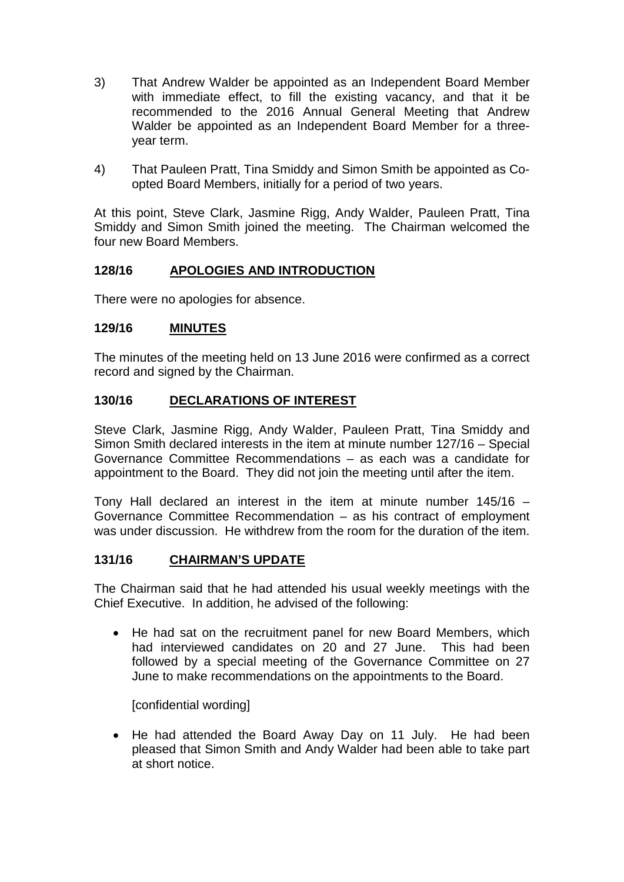- 3) That Andrew Walder be appointed as an Independent Board Member with immediate effect, to fill the existing vacancy, and that it be recommended to the 2016 Annual General Meeting that Andrew Walder be appointed as an Independent Board Member for a threeyear term.
- 4) That Pauleen Pratt, Tina Smiddy and Simon Smith be appointed as Coopted Board Members, initially for a period of two years.

At this point, Steve Clark, Jasmine Rigg, Andy Walder, Pauleen Pratt, Tina Smiddy and Simon Smith joined the meeting. The Chairman welcomed the four new Board Members.

# **128/16 APOLOGIES AND INTRODUCTION**

There were no apologies for absence.

## **129/16 MINUTES**

The minutes of the meeting held on 13 June 2016 were confirmed as a correct record and signed by the Chairman.

## **130/16 DECLARATIONS OF INTEREST**

Steve Clark, Jasmine Rigg, Andy Walder, Pauleen Pratt, Tina Smiddy and Simon Smith declared interests in the item at minute number 127/16 – Special Governance Committee Recommendations – as each was a candidate for appointment to the Board. They did not join the meeting until after the item.

Tony Hall declared an interest in the item at minute number 145/16 – Governance Committee Recommendation – as his contract of employment was under discussion. He withdrew from the room for the duration of the item.

## **131/16 CHAIRMAN'S UPDATE**

The Chairman said that he had attended his usual weekly meetings with the Chief Executive. In addition, he advised of the following:

• He had sat on the recruitment panel for new Board Members, which had interviewed candidates on 20 and 27 June. This had been followed by a special meeting of the Governance Committee on 27 June to make recommendations on the appointments to the Board.

[confidential wording]

• He had attended the Board Away Day on 11 July. He had been pleased that Simon Smith and Andy Walder had been able to take part at short notice.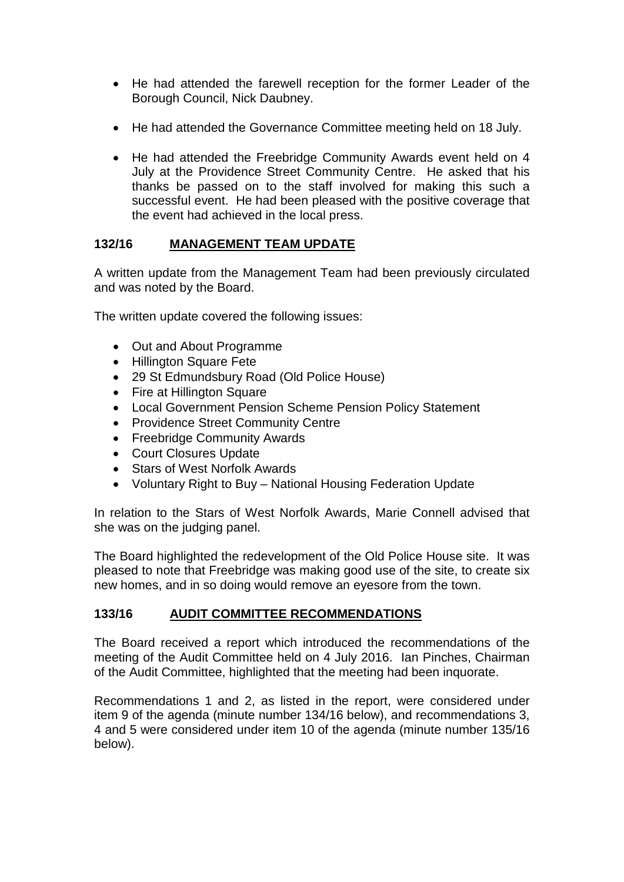- He had attended the farewell reception for the former Leader of the Borough Council, Nick Daubney.
- He had attended the Governance Committee meeting held on 18 July.
- He had attended the Freebridge Community Awards event held on 4 July at the Providence Street Community Centre. He asked that his thanks be passed on to the staff involved for making this such a successful event. He had been pleased with the positive coverage that the event had achieved in the local press.

# **132/16 MANAGEMENT TEAM UPDATE**

A written update from the Management Team had been previously circulated and was noted by the Board.

The written update covered the following issues:

- Out and About Programme
- Hillington Square Fete
- 29 St Edmundsbury Road (Old Police House)
- Fire at Hillington Square
- Local Government Pension Scheme Pension Policy Statement
- Providence Street Community Centre
- Freebridge Community Awards
- Court Closures Update
- Stars of West Norfolk Awards
- Voluntary Right to Buy National Housing Federation Update

In relation to the Stars of West Norfolk Awards, Marie Connell advised that she was on the judging panel.

The Board highlighted the redevelopment of the Old Police House site. It was pleased to note that Freebridge was making good use of the site, to create six new homes, and in so doing would remove an eyesore from the town.

# **133/16 AUDIT COMMITTEE RECOMMENDATIONS**

The Board received a report which introduced the recommendations of the meeting of the Audit Committee held on 4 July 2016. Ian Pinches, Chairman of the Audit Committee, highlighted that the meeting had been inquorate.

Recommendations 1 and 2, as listed in the report, were considered under item 9 of the agenda (minute number 134/16 below), and recommendations 3, 4 and 5 were considered under item 10 of the agenda (minute number 135/16 below).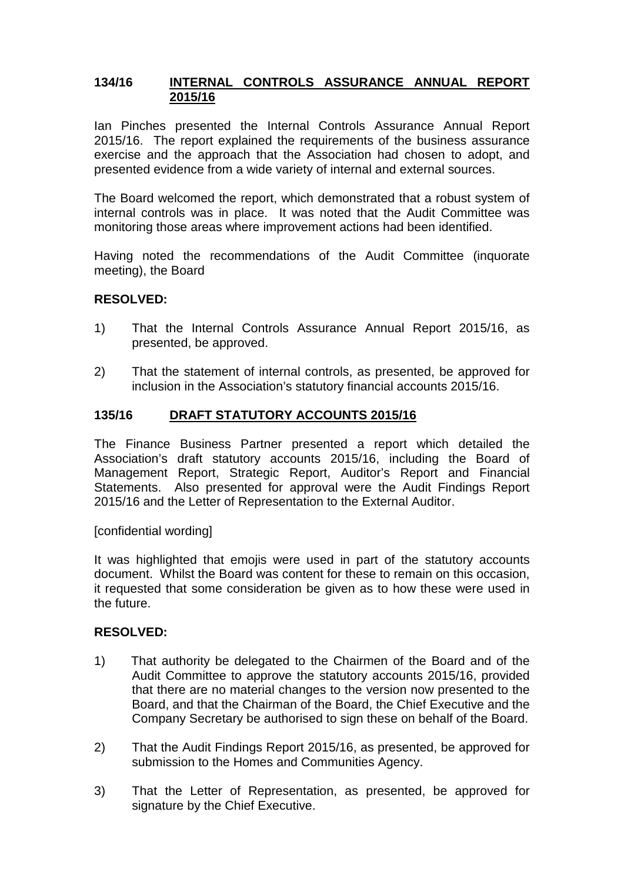#### **134/16 INTERNAL CONTROLS ASSURANCE ANNUAL REPORT 2015/16**

Ian Pinches presented the Internal Controls Assurance Annual Report 2015/16. The report explained the requirements of the business assurance exercise and the approach that the Association had chosen to adopt, and presented evidence from a wide variety of internal and external sources.

The Board welcomed the report, which demonstrated that a robust system of internal controls was in place. It was noted that the Audit Committee was monitoring those areas where improvement actions had been identified.

Having noted the recommendations of the Audit Committee (inquorate meeting), the Board

#### **RESOLVED:**

- 1) That the Internal Controls Assurance Annual Report 2015/16, as presented, be approved.
- 2) That the statement of internal controls, as presented, be approved for inclusion in the Association's statutory financial accounts 2015/16.

## **135/16 DRAFT STATUTORY ACCOUNTS 2015/16**

The Finance Business Partner presented a report which detailed the Association's draft statutory accounts 2015/16, including the Board of Management Report, Strategic Report, Auditor's Report and Financial Statements. Also presented for approval were the Audit Findings Report 2015/16 and the Letter of Representation to the External Auditor.

[confidential wording]

It was highlighted that emojis were used in part of the statutory accounts document. Whilst the Board was content for these to remain on this occasion, it requested that some consideration be given as to how these were used in the future.

#### **RESOLVED:**

- 1) That authority be delegated to the Chairmen of the Board and of the Audit Committee to approve the statutory accounts 2015/16, provided that there are no material changes to the version now presented to the Board, and that the Chairman of the Board, the Chief Executive and the Company Secretary be authorised to sign these on behalf of the Board.
- 2) That the Audit Findings Report 2015/16, as presented, be approved for submission to the Homes and Communities Agency.
- 3) That the Letter of Representation, as presented, be approved for signature by the Chief Executive.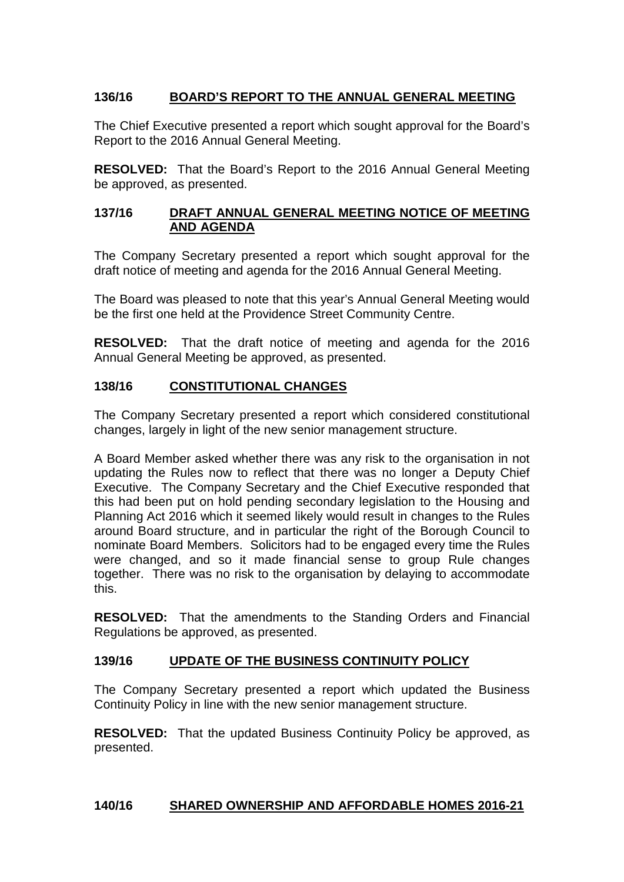# **136/16 BOARD'S REPORT TO THE ANNUAL GENERAL MEETING**

The Chief Executive presented a report which sought approval for the Board's Report to the 2016 Annual General Meeting.

**RESOLVED:** That the Board's Report to the 2016 Annual General Meeting be approved, as presented.

## **137/16 DRAFT ANNUAL GENERAL MEETING NOTICE OF MEETING AND AGENDA**

The Company Secretary presented a report which sought approval for the draft notice of meeting and agenda for the 2016 Annual General Meeting.

The Board was pleased to note that this year's Annual General Meeting would be the first one held at the Providence Street Community Centre.

**RESOLVED:** That the draft notice of meeting and agenda for the 2016 Annual General Meeting be approved, as presented.

# **138/16 CONSTITUTIONAL CHANGES**

The Company Secretary presented a report which considered constitutional changes, largely in light of the new senior management structure.

A Board Member asked whether there was any risk to the organisation in not updating the Rules now to reflect that there was no longer a Deputy Chief Executive. The Company Secretary and the Chief Executive responded that this had been put on hold pending secondary legislation to the Housing and Planning Act 2016 which it seemed likely would result in changes to the Rules around Board structure, and in particular the right of the Borough Council to nominate Board Members. Solicitors had to be engaged every time the Rules were changed, and so it made financial sense to group Rule changes together. There was no risk to the organisation by delaying to accommodate this.

**RESOLVED:** That the amendments to the Standing Orders and Financial Regulations be approved, as presented.

## **139/16 UPDATE OF THE BUSINESS CONTINUITY POLICY**

The Company Secretary presented a report which updated the Business Continuity Policy in line with the new senior management structure.

**RESOLVED:** That the updated Business Continuity Policy be approved, as presented.

#### **140/16 SHARED OWNERSHIP AND AFFORDABLE HOMES 2016-21**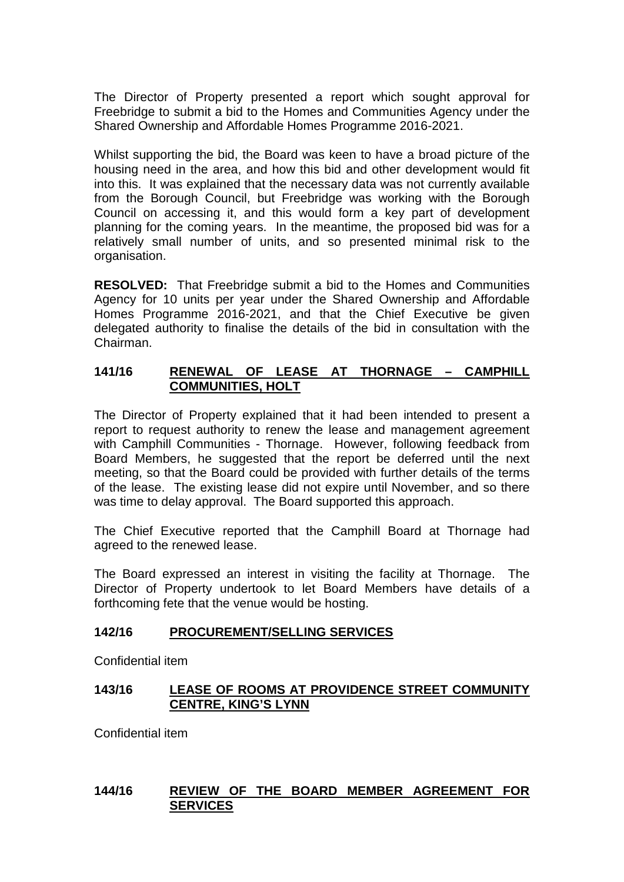The Director of Property presented a report which sought approval for Freebridge to submit a bid to the Homes and Communities Agency under the Shared Ownership and Affordable Homes Programme 2016-2021.

Whilst supporting the bid, the Board was keen to have a broad picture of the housing need in the area, and how this bid and other development would fit into this. It was explained that the necessary data was not currently available from the Borough Council, but Freebridge was working with the Borough Council on accessing it, and this would form a key part of development planning for the coming years. In the meantime, the proposed bid was for a relatively small number of units, and so presented minimal risk to the organisation.

**RESOLVED:** That Freebridge submit a bid to the Homes and Communities Agency for 10 units per year under the Shared Ownership and Affordable Homes Programme 2016-2021, and that the Chief Executive be given delegated authority to finalise the details of the bid in consultation with the Chairman.

## **141/16 RENEWAL OF LEASE AT THORNAGE – CAMPHILL COMMUNITIES, HOLT**

The Director of Property explained that it had been intended to present a report to request authority to renew the lease and management agreement with Camphill Communities - Thornage. However, following feedback from Board Members, he suggested that the report be deferred until the next meeting, so that the Board could be provided with further details of the terms of the lease. The existing lease did not expire until November, and so there was time to delay approval. The Board supported this approach.

The Chief Executive reported that the Camphill Board at Thornage had agreed to the renewed lease.

The Board expressed an interest in visiting the facility at Thornage. The Director of Property undertook to let Board Members have details of a forthcoming fete that the venue would be hosting.

## **142/16 PROCUREMENT/SELLING SERVICES**

Confidential item

# **143/16 LEASE OF ROOMS AT PROVIDENCE STREET COMMUNITY CENTRE, KING'S LYNN**

Confidential item

## **144/16 REVIEW OF THE BOARD MEMBER AGREEMENT FOR SERVICES**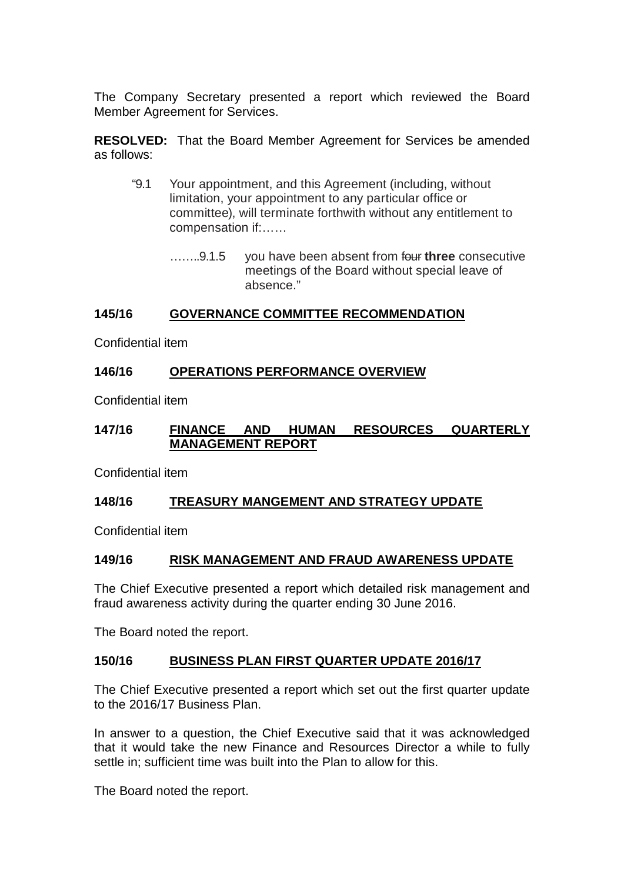The Company Secretary presented a report which reviewed the Board Member Agreement for Services.

**RESOLVED:** That the Board Member Agreement for Services be amended as follows:

- "9.1 Your appointment, and this Agreement (including, without limitation, your appointment to any particular office or committee), will terminate forthwith without any entitlement to compensation if:……
	- ……..9.1.5 you have been absent from four **three** consecutive meetings of the Board without special leave of absence."

#### **145/16 GOVERNANCE COMMITTEE RECOMMENDATION**

Confidential item

## **146/16 OPERATIONS PERFORMANCE OVERVIEW**

Confidential item

#### **147/16 FINANCE AND HUMAN RESOURCES QUARTERLY MANAGEMENT REPORT**

Confidential item

## **148/16 TREASURY MANGEMENT AND STRATEGY UPDATE**

Confidential item

## **149/16 RISK MANAGEMENT AND FRAUD AWARENESS UPDATE**

The Chief Executive presented a report which detailed risk management and fraud awareness activity during the quarter ending 30 June 2016.

The Board noted the report.

#### **150/16 BUSINESS PLAN FIRST QUARTER UPDATE 2016/17**

The Chief Executive presented a report which set out the first quarter update to the 2016/17 Business Plan.

In answer to a question, the Chief Executive said that it was acknowledged that it would take the new Finance and Resources Director a while to fully settle in: sufficient time was built into the Plan to allow for this.

The Board noted the report.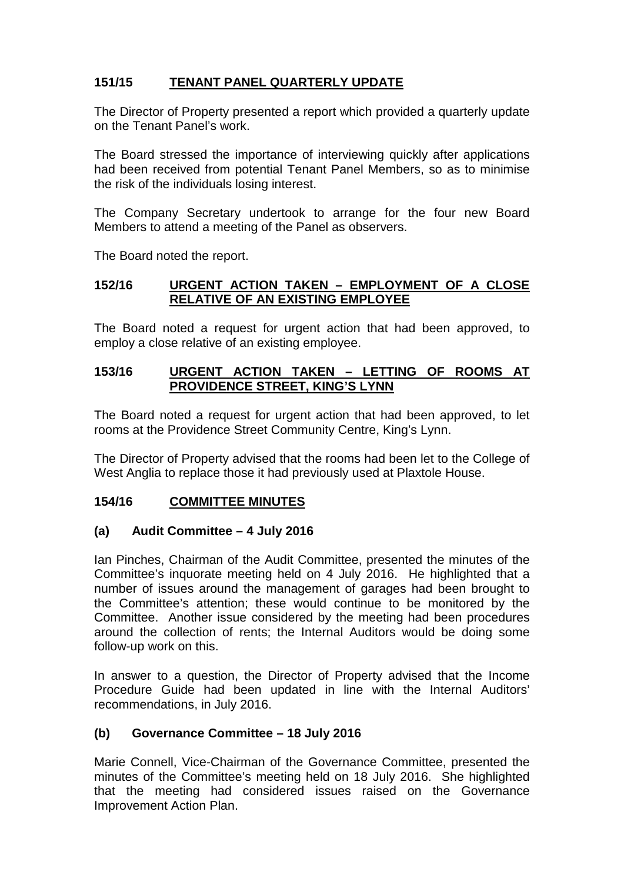# **151/15 TENANT PANEL QUARTERLY UPDATE**

The Director of Property presented a report which provided a quarterly update on the Tenant Panel's work.

The Board stressed the importance of interviewing quickly after applications had been received from potential Tenant Panel Members, so as to minimise the risk of the individuals losing interest.

The Company Secretary undertook to arrange for the four new Board Members to attend a meeting of the Panel as observers.

The Board noted the report.

# **152/16 URGENT ACTION TAKEN – EMPLOYMENT OF A CLOSE RELATIVE OF AN EXISTING EMPLOYEE**

The Board noted a request for urgent action that had been approved, to employ a close relative of an existing employee.

# **153/16 URGENT ACTION TAKEN – LETTING OF ROOMS AT PROVIDENCE STREET, KING'S LYNN**

The Board noted a request for urgent action that had been approved, to let rooms at the Providence Street Community Centre, King's Lynn.

The Director of Property advised that the rooms had been let to the College of West Anglia to replace those it had previously used at Plaxtole House.

# **154/16 COMMITTEE MINUTES**

## **(a) Audit Committee – 4 July 2016**

Ian Pinches, Chairman of the Audit Committee, presented the minutes of the Committee's inquorate meeting held on 4 July 2016. He highlighted that a number of issues around the management of garages had been brought to the Committee's attention; these would continue to be monitored by the Committee. Another issue considered by the meeting had been procedures around the collection of rents; the Internal Auditors would be doing some follow-up work on this.

In answer to a question, the Director of Property advised that the Income Procedure Guide had been updated in line with the Internal Auditors' recommendations, in July 2016.

# **(b) Governance Committee – 18 July 2016**

Marie Connell, Vice-Chairman of the Governance Committee, presented the minutes of the Committee's meeting held on 18 July 2016. She highlighted that the meeting had considered issues raised on the Governance Improvement Action Plan.